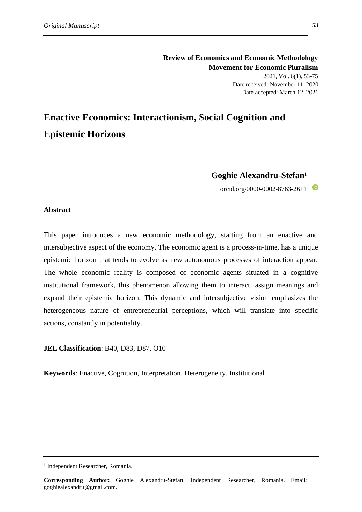# **Review of Economics and Economic Methodology Movement for Economic Pluralism** 2021, Vol. 6(1), 53-75 Date received: November 11, 2020 Date accepted: March 12, 2021

# **Enactive Economics: Interactionism, Social Cognition and Epistemic Horizons**

# **Goghie Alexandru-Stefan<sup>1</sup>**

orcid.org/0000-0002-8763-2611

## **Abstract**

This paper introduces a new economic methodology, starting from an enactive and intersubjective aspect of the economy. The economic agent is a process-in-time, has a unique epistemic horizon that tends to evolve as new autonomous processes of interaction appear. The whole economic reality is composed of economic agents situated in a cognitive institutional framework, this phenomenon allowing them to interact, assign meanings and expand their epistemic horizon. This dynamic and intersubjective vision emphasizes the heterogeneous nature of entrepreneurial perceptions, which will translate into specific actions, constantly in potentiality.

**JEL Classification**: B40, D83, D87, O10

**Keywords**: Enactive, Cognition, Interpretation, Heterogeneity, Institutional

<sup>&</sup>lt;sup>1</sup> Independent Researcher, Romania.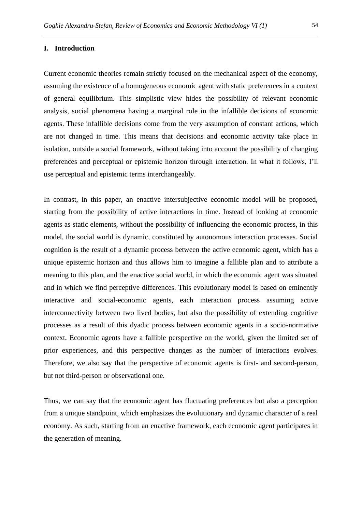#### **I. Introduction**

Current economic theories remain strictly focused on the mechanical aspect of the economy, assuming the existence of a homogeneous economic agent with static preferences in a context of general equilibrium. This simplistic view hides the possibility of relevant economic analysis, social phenomena having a marginal role in the infallible decisions of economic agents. These infallible decisions come from the very assumption of constant actions, which are not changed in time. This means that decisions and economic activity take place in isolation, outside a social framework, without taking into account the possibility of changing preferences and perceptual or epistemic horizon through interaction. In what it follows, I'll use perceptual and epistemic terms interchangeably.

In contrast, in this paper, an enactive intersubjective economic model will be proposed, starting from the possibility of active interactions in time. Instead of looking at economic agents as static elements, without the possibility of influencing the economic process, in this model, the social world is dynamic, constituted by autonomous interaction processes. Social cognition is the result of a dynamic process between the active economic agent, which has a unique epistemic horizon and thus allows him to imagine a fallible plan and to attribute a meaning to this plan, and the enactive social world, in which the economic agent was situated and in which we find perceptive differences. This evolutionary model is based on eminently interactive and social-economic agents, each interaction process assuming active interconnectivity between two lived bodies, but also the possibility of extending cognitive processes as a result of this dyadic process between economic agents in a socio-normative context. Economic agents have a fallible perspective on the world, given the limited set of prior experiences, and this perspective changes as the number of interactions evolves. Therefore, we also say that the perspective of economic agents is first- and second-person, but not third-person or observational one.

Thus, we can say that the economic agent has fluctuating preferences but also a perception from a unique standpoint, which emphasizes the evolutionary and dynamic character of a real economy. As such, starting from an enactive framework, each economic agent participates in the generation of meaning.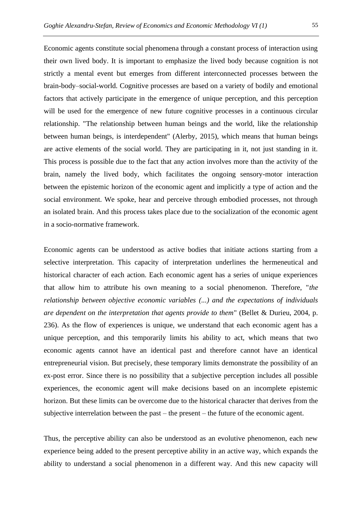Economic agents constitute social phenomena through a constant process of interaction using their own lived body. It is important to emphasize the lived body because cognition is not strictly a mental event but emerges from different interconnected processes between the brain-body–social-world. Cognitive processes are based on a variety of bodily and emotional factors that actively participate in the emergence of unique perception, and this perception will be used for the emergence of new future cognitive processes in a continuous circular relationship. "The relationship between human beings and the world, like the relationship between human beings, is interdependent" (Alerby, 2015), which means that human beings are active elements of the social world. They are participating in it, not just standing in it. This process is possible due to the fact that any action involves more than the activity of the brain, namely the lived body, which facilitates the ongoing sensory-motor interaction between the epistemic horizon of the economic agent and implicitly a type of action and the social environment. We spoke, hear and perceive through embodied processes, not through an isolated brain. And this process takes place due to the socialization of the economic agent in a socio-normative framework.

Economic agents can be understood as active bodies that initiate actions starting from a selective interpretation. This capacity of interpretation underlines the hermeneutical and historical character of each action. Each economic agent has a series of unique experiences that allow him to attribute his own meaning to a social phenomenon. Therefore, "*the relationship between objective economic variables (...) and the expectations of individuals are dependent on the interpretation that agents provide to them*" (Bellet & Durieu, 2004, p. 236). As the flow of experiences is unique, we understand that each economic agent has a unique perception, and this temporarily limits his ability to act, which means that two economic agents cannot have an identical past and therefore cannot have an identical entrepreneurial vision. But precisely, these temporary limits demonstrate the possibility of an ex-post error. Since there is no possibility that a subjective perception includes all possible experiences, the economic agent will make decisions based on an incomplete epistemic horizon. But these limits can be overcome due to the historical character that derives from the subjective interrelation between the past – the present – the future of the economic agent.

Thus, the perceptive ability can also be understood as an evolutive phenomenon, each new experience being added to the present perceptive ability in an active way, which expands the ability to understand a social phenomenon in a different way. And this new capacity will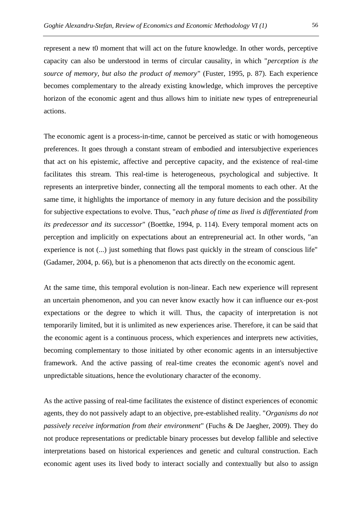represent a new t0 moment that will act on the future knowledge. In other words, perceptive capacity can also be understood in terms of circular causality, in which "*perception is the source of memory, but also the product of memory*" (Fuster, 1995, p. 87). Each experience becomes complementary to the already existing knowledge, which improves the perceptive horizon of the economic agent and thus allows him to initiate new types of entrepreneurial actions.

The economic agent is a process-in-time, cannot be perceived as static or with homogeneous preferences. It goes through a constant stream of embodied and intersubjective experiences that act on his epistemic, affective and perceptive capacity, and the existence of real-time facilitates this stream. This real-time is heterogeneous, psychological and subjective. It represents an interpretive binder, connecting all the temporal moments to each other. At the same time, it highlights the importance of memory in any future decision and the possibility for subjective expectations to evolve. Thus, "*each phase of time as lived is differentiated from its predecessor and its successor*" (Boettke, 1994, p. 114). Every temporal moment acts on perception and implicitly on expectations about an entrepreneurial act. In other words, "an experience is not (...) just something that flows past quickly in the stream of conscious life" (Gadamer, 2004, p. 66), but is a phenomenon that acts directly on the economic agent.

At the same time, this temporal evolution is non-linear. Each new experience will represent an uncertain phenomenon, and you can never know exactly how it can influence our ex-post expectations or the degree to which it will. Thus, the capacity of interpretation is not temporarily limited, but it is unlimited as new experiences arise. Therefore, it can be said that the economic agent is a continuous process, which experiences and interprets new activities, becoming complementary to those initiated by other economic agents in an intersubjective framework. And the active passing of real-time creates the economic agent's novel and unpredictable situations, hence the evolutionary character of the economy.

As the active passing of real-time facilitates the existence of distinct experiences of economic agents, they do not passively adapt to an objective, pre-established reality. "*Organisms do not passively receive information from their environment*" (Fuchs & De Jaegher, 2009). They do not produce representations or predictable binary processes but develop fallible and selective interpretations based on historical experiences and genetic and cultural construction. Each economic agent uses its lived body to interact socially and contextually but also to assign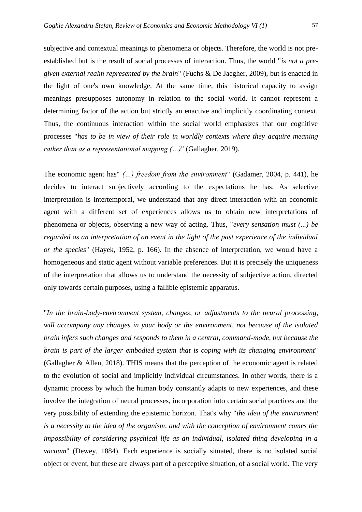subjective and contextual meanings to phenomena or objects. Therefore, the world is not preestablished but is the result of social processes of interaction. Thus, the world "*is not a pregiven external realm represented by the brain*" (Fuchs & De Jaegher, 2009), but is enacted in the light of one's own knowledge. At the same time, this historical capacity to assign meanings presupposes autonomy in relation to the social world. It cannot represent a determining factor of the action but strictly an enactive and implicitly coordinating context. Thus, the continuous interaction within the social world emphasizes that our cognitive processes "*has to be in view of their role in worldly contexts where they acquire meaning rather than as a representational mapping (…)*" (Gallagher, 2019).

The economic agent has" *(…) freedom from the environment*" (Gadamer, 2004, p. 441), he decides to interact subjectively according to the expectations he has. As selective interpretation is intertemporal, we understand that any direct interaction with an economic agent with a different set of experiences allows us to obtain new interpretations of phenomena or objects, observing a new way of acting. Thus, "*every sensation must (...) be regarded as an interpretation of an event in the light of the past experience of the individual or the species*" (Hayek, 1952, p. 166). In the absence of interpretation, we would have a homogeneous and static agent without variable preferences. But it is precisely the uniqueness of the interpretation that allows us to understand the necessity of subjective action, directed only towards certain purposes, using a fallible epistemic apparatus.

"*In the brain-body-environment system, changes, or adjustments to the neural processing, will accompany any changes in your body or the environment, not because of the isolated brain infers such changes and responds to them in a central, command-mode, but because the brain is part of the larger embodied system that is coping with its changing environment*" (Gallagher & Allen, 2018). THIS means that the perception of the economic agent is related to the evolution of social and implicitly individual circumstances. In other words, there is a dynamic process by which the human body constantly adapts to new experiences, and these involve the integration of neural processes, incorporation into certain social practices and the very possibility of extending the epistemic horizon. That's why "*the idea of the environment is a necessity to the idea of the organism, and with the conception of environment comes the impossibility of considering psychical life as an individual, isolated thing developing in a vacuum*" (Dewey, 1884). Each experience is socially situated, there is no isolated social object or event, but these are always part of a perceptive situation, of a social world. The very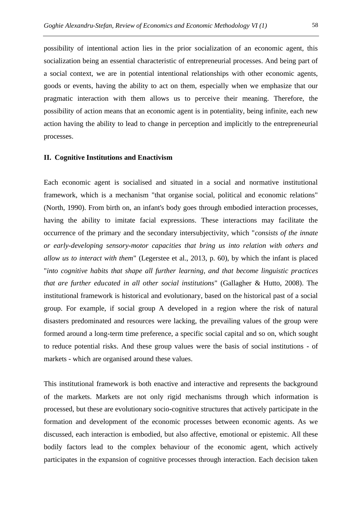possibility of intentional action lies in the prior socialization of an economic agent, this socialization being an essential characteristic of entrepreneurial processes. And being part of a social context, we are in potential intentional relationships with other economic agents, goods or events, having the ability to act on them, especially when we emphasize that our pragmatic interaction with them allows us to perceive their meaning. Therefore, the possibility of action means that an economic agent is in potentiality, being infinite, each new action having the ability to lead to change in perception and implicitly to the entrepreneurial processes.

#### **II. Cognitive Institutions and Enactivism**

Each economic agent is socialised and situated in a social and normative institutional framework, which is a mechanism "that organise social, political and economic relations" (North, 1990). From birth on, an infant's body goes through embodied interaction processes, having the ability to imitate facial expressions. These interactions may facilitate the occurrence of the primary and the secondary intersubjectivity, which "*consists of the innate or early-developing sensory-motor capacities that bring us into relation with others and allow us to interact with them*" (Legerstee et al., 2013, p. 60), by which the infant is placed "*into cognitive habits that shape all further learning, and that become linguistic practices that are further educated in all other social institutions*" (Gallagher & Hutto, 2008). The institutional framework is historical and evolutionary, based on the historical past of a social group. For example, if social group A developed in a region where the risk of natural disasters predominated and resources were lacking, the prevailing values of the group were formed around a long-term time preference, a specific social capital and so on, which sought to reduce potential risks. And these group values were the basis of social institutions - of markets - which are organised around these values.

This institutional framework is both enactive and interactive and represents the background of the markets. Markets are not only rigid mechanisms through which information is processed, but these are evolutionary socio-cognitive structures that actively participate in the formation and development of the economic processes between economic agents. As we discussed, each interaction is embodied, but also affective, emotional or epistemic. All these bodily factors lead to the complex behaviour of the economic agent, which actively participates in the expansion of cognitive processes through interaction. Each decision taken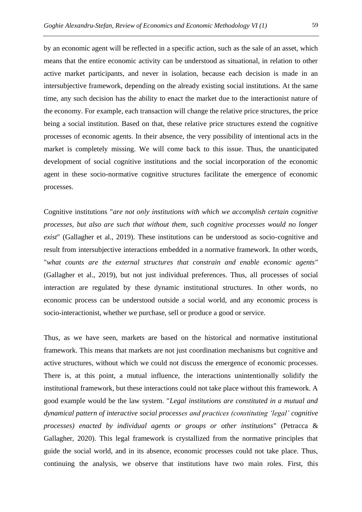by an economic agent will be reflected in a specific action, such as the sale of an asset, which means that the entire economic activity can be understood as situational, in relation to other active market participants, and never in isolation, because each decision is made in an intersubjective framework, depending on the already existing social institutions. At the same time, any such decision has the ability to enact the market due to the interactionist nature of the economy. For example, each transaction will change the relative price structures, the price being a social institution. Based on that, these relative price structures extend the cognitive processes of economic agents. In their absence, the very possibility of intentional acts in the market is completely missing. We will come back to this issue. Thus, the unanticipated development of social cognitive institutions and the social incorporation of the economic agent in these socio-normative cognitive structures facilitate the emergence of economic processes.

Cognitive institutions "*are not only institutions with which we accomplish certain cognitive processes, but also are such that without them, such cognitive processes would no longer exist*" (Gallagher et al., 2019). These institutions can be understood as socio-cognitive and result from intersubjective interactions embedded in a normative framework. In other words, "*what counts are the external structures that constrain and enable economic agents*" (Gallagher et al., 2019), but not just individual preferences. Thus, all processes of social interaction are regulated by these dynamic institutional structures. In other words, no economic process can be understood outside a social world, and any economic process is socio-interactionist, whether we purchase, sell or produce a good or service.

Thus, as we have seen, markets are based on the historical and normative institutional framework. This means that markets are not just coordination mechanisms but cognitive and active structures, without which we could not discuss the emergence of economic processes. There is, at this point, a mutual influence, the interactions unintentionally solidify the institutional framework, but these interactions could not take place without this framework. A good example would be the law system. "*Legal institutions are constituted in a mutual and dynamical pattern of interactive social processes and practices (constituting 'legal' cognitive processes) enacted by individual agents or groups or other institutions*" (Petracca & Gallagher, 2020). This legal framework is crystallized from the normative principles that guide the social world, and in its absence, economic processes could not take place. Thus, continuing the analysis, we observe that institutions have two main roles. First, this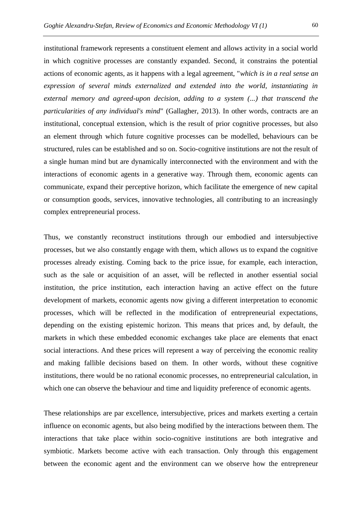institutional framework represents a constituent element and allows activity in a social world in which cognitive processes are constantly expanded. Second, it constrains the potential actions of economic agents, as it happens with a legal agreement, "*which is in a real sense an expression of several minds externalized and extended into the world, instantiating in external memory and agreed-upon decision, adding to a system (...) that transcend the particularities of any individual's mind*" (Gallagher, 2013). In other words, contracts are an institutional, conceptual extension, which is the result of prior cognitive processes, but also an element through which future cognitive processes can be modelled, behaviours can be structured, rules can be established and so on. Socio-cognitive institutions are not the result of a single human mind but are dynamically interconnected with the environment and with the interactions of economic agents in a generative way. Through them, economic agents can communicate, expand their perceptive horizon, which facilitate the emergence of new capital or consumption goods, services, innovative technologies, all contributing to an increasingly complex entrepreneurial process.

Thus, we constantly reconstruct institutions through our embodied and intersubjective processes, but we also constantly engage with them, which allows us to expand the cognitive processes already existing. Coming back to the price issue, for example, each interaction, such as the sale or acquisition of an asset, will be reflected in another essential social institution, the price institution, each interaction having an active effect on the future development of markets, economic agents now giving a different interpretation to economic processes, which will be reflected in the modification of entrepreneurial expectations, depending on the existing epistemic horizon. This means that prices and, by default, the markets in which these embedded economic exchanges take place are elements that enact social interactions. And these prices will represent a way of perceiving the economic reality and making fallible decisions based on them. In other words, without these cognitive institutions, there would be no rational economic processes, no entrepreneurial calculation, in which one can observe the behaviour and time and liquidity preference of economic agents.

These relationships are par excellence, intersubjective, prices and markets exerting a certain influence on economic agents, but also being modified by the interactions between them. The interactions that take place within socio-cognitive institutions are both integrative and symbiotic. Markets become active with each transaction. Only through this engagement between the economic agent and the environment can we observe how the entrepreneur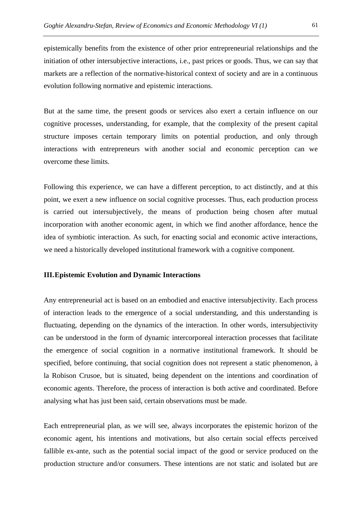epistemically benefits from the existence of other prior entrepreneurial relationships and the initiation of other intersubjective interactions, i.e., past prices or goods. Thus, we can say that markets are a reflection of the normative-historical context of society and are in a continuous evolution following normative and epistemic interactions.

But at the same time, the present goods or services also exert a certain influence on our cognitive processes, understanding, for example, that the complexity of the present capital structure imposes certain temporary limits on potential production, and only through interactions with entrepreneurs with another social and economic perception can we overcome these limits.

Following this experience, we can have a different perception, to act distinctly, and at this point, we exert a new influence on social cognitive processes. Thus, each production process is carried out intersubjectively, the means of production being chosen after mutual incorporation with another economic agent, in which we find another affordance, hence the idea of symbiotic interaction. As such, for enacting social and economic active interactions, we need a historically developed institutional framework with a cognitive component.

#### **III.Epistemic Evolution and Dynamic Interactions**

Any entrepreneurial act is based on an embodied and enactive intersubjectivity. Each process of interaction leads to the emergence of a social understanding, and this understanding is fluctuating, depending on the dynamics of the interaction. In other words, intersubjectivity can be understood in the form of dynamic intercorporeal interaction processes that facilitate the emergence of social cognition in a normative institutional framework. It should be specified, before continuing, that social cognition does not represent a static phenomenon, à la Robison Crusoe, but is situated, being dependent on the intentions and coordination of economic agents. Therefore, the process of interaction is both active and coordinated. Before analysing what has just been said, certain observations must be made.

Each entrepreneurial plan, as we will see, always incorporates the epistemic horizon of the economic agent, his intentions and motivations, but also certain social effects perceived fallible ex-ante, such as the potential social impact of the good or service produced on the production structure and/or consumers. These intentions are not static and isolated but are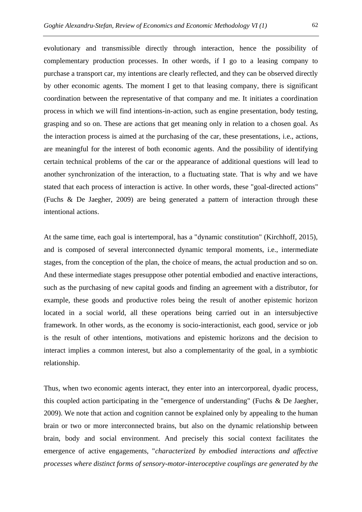evolutionary and transmissible directly through interaction, hence the possibility of complementary production processes. In other words, if I go to a leasing company to purchase a transport car, my intentions are clearly reflected, and they can be observed directly by other economic agents. The moment I get to that leasing company, there is significant coordination between the representative of that company and me. It initiates a coordination process in which we will find intentions-in-action, such as engine presentation, body testing, grasping and so on. These are actions that get meaning only in relation to a chosen goal. As the interaction process is aimed at the purchasing of the car, these presentations, i.e., actions, are meaningful for the interest of both economic agents. And the possibility of identifying certain technical problems of the car or the appearance of additional questions will lead to another synchronization of the interaction, to a fluctuating state. That is why and we have stated that each process of interaction is active. In other words, these "goal-directed actions" (Fuchs & De Jaegher, 2009) are being generated a pattern of interaction through these intentional actions.

At the same time, each goal is intertemporal, has a "dynamic constitution" (Kirchhoff, 2015), and is composed of several interconnected dynamic temporal moments, i.e., intermediate stages, from the conception of the plan, the choice of means, the actual production and so on. And these intermediate stages presuppose other potential embodied and enactive interactions, such as the purchasing of new capital goods and finding an agreement with a distributor, for example, these goods and productive roles being the result of another epistemic horizon located in a social world, all these operations being carried out in an intersubjective framework. In other words, as the economy is socio-interactionist, each good, service or job is the result of other intentions, motivations and epistemic horizons and the decision to interact implies a common interest, but also a complementarity of the goal, in a symbiotic relationship.

Thus, when two economic agents interact, they enter into an intercorporeal, dyadic process, this coupled action participating in the "emergence of understanding" (Fuchs & De Jaegher, 2009). We note that action and cognition cannot be explained only by appealing to the human brain or two or more interconnected brains, but also on the dynamic relationship between brain, body and social environment. And precisely this social context facilitates the emergence of active engagements, "*characterized by embodied interactions and affective processes where distinct forms of sensory-motor-interoceptive couplings are generated by the*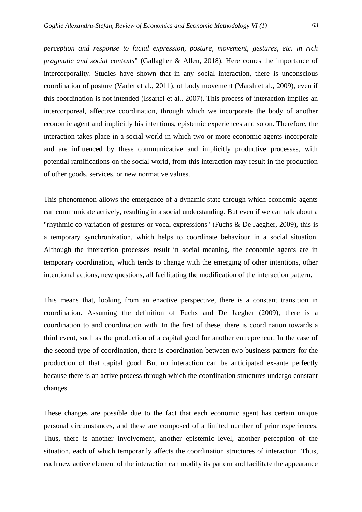*perception and response to facial expression, posture, movement, gestures, etc. in rich pragmatic and social contexts*" (Gallagher & Allen, 2018). Here comes the importance of intercorporality. Studies have shown that in any social interaction, there is unconscious coordination of posture (Varlet et al., 2011), of body movement (Marsh et al., 2009), even if this coordination is not intended (Issartel et al., 2007). This process of interaction implies an intercorporeal, affective coordination, through which we incorporate the body of another economic agent and implicitly his intentions, epistemic experiences and so on. Therefore, the interaction takes place in a social world in which two or more economic agents incorporate and are influenced by these communicative and implicitly productive processes, with potential ramifications on the social world, from this interaction may result in the production of other goods, services, or new normative values.

This phenomenon allows the emergence of a dynamic state through which economic agents can communicate actively, resulting in a social understanding. But even if we can talk about a "rhythmic co-variation of gestures or vocal expressions" (Fuchs & De Jaegher, 2009), this is a temporary synchronization, which helps to coordinate behaviour in a social situation. Although the interaction processes result in social meaning, the economic agents are in temporary coordination, which tends to change with the emerging of other intentions, other intentional actions, new questions, all facilitating the modification of the interaction pattern.

This means that, looking from an enactive perspective, there is a constant transition in coordination. Assuming the definition of Fuchs and De Jaegher (2009), there is a coordination to and coordination with. In the first of these, there is coordination towards a third event, such as the production of a capital good for another entrepreneur. In the case of the second type of coordination, there is coordination between two business partners for the production of that capital good. But no interaction can be anticipated ex-ante perfectly because there is an active process through which the coordination structures undergo constant changes.

These changes are possible due to the fact that each economic agent has certain unique personal circumstances, and these are composed of a limited number of prior experiences. Thus, there is another involvement, another epistemic level, another perception of the situation, each of which temporarily affects the coordination structures of interaction. Thus, each new active element of the interaction can modify its pattern and facilitate the appearance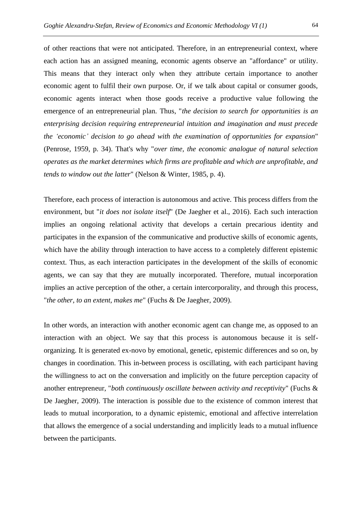of other reactions that were not anticipated. Therefore, in an entrepreneurial context, where each action has an assigned meaning, economic agents observe an "affordance" or utility. This means that they interact only when they attribute certain importance to another economic agent to fulfil their own purpose. Or, if we talk about capital or consumer goods, economic agents interact when those goods receive a productive value following the emergence of an entrepreneurial plan. Thus, "*the decision to search for opportunities is an enterprising decision requiring entrepreneurial intuition and imagination and must precede the 'economic' decision to go ahead with the examination of opportunities for expansion*" (Penrose, 1959, p. 34). That's why "*over time, the economic analogue of natural selection operates as the market determines which firms are profitable and which are unprofitable, and tends to window out the latter*" (Nelson & Winter, 1985, p. 4).

Therefore, each process of interaction is autonomous and active. This process differs from the environment, but "*it does not isolate itself*" (De Jaegher et al., 2016). Each such interaction implies an ongoing relational activity that develops a certain precarious identity and participates in the expansion of the communicative and productive skills of economic agents, which have the ability through interaction to have access to a completely different epistemic context. Thus, as each interaction participates in the development of the skills of economic agents, we can say that they are mutually incorporated. Therefore, mutual incorporation implies an active perception of the other, a certain intercorporality, and through this process, "*the other, to an extent, makes me*" (Fuchs & De Jaegher, 2009).

In other words, an interaction with another economic agent can change me, as opposed to an interaction with an object. We say that this process is autonomous because it is selforganizing. It is generated ex-novo by emotional, genetic, epistemic differences and so on, by changes in coordination. This in-between process is oscillating, with each participant having the willingness to act on the conversation and implicitly on the future perception capacity of another entrepreneur, "*both continuously oscillate between activity and receptivity*" (Fuchs & De Jaegher, 2009). The interaction is possible due to the existence of common interest that leads to mutual incorporation, to a dynamic epistemic, emotional and affective interrelation that allows the emergence of a social understanding and implicitly leads to a mutual influence between the participants.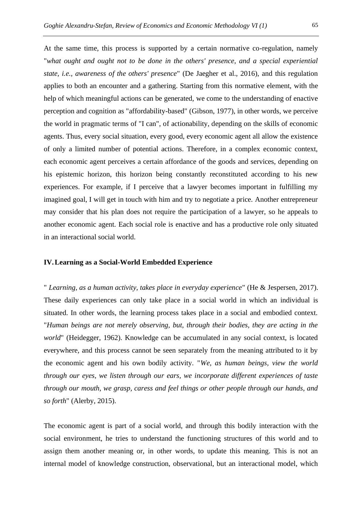At the same time, this process is supported by a certain normative co-regulation, namely "*what ought and ought not to be done in the others' presence, and a special experiential state, i.e., awareness of the others' presence*" (De Jaegher et al., 2016), and this regulation applies to both an encounter and a gathering. Starting from this normative element, with the help of which meaningful actions can be generated, we come to the understanding of enactive perception and cognition as "affordability-based" (Gibson, 1977), in other words, we perceive the world in pragmatic terms of "I can", of actionability, depending on the skills of economic agents. Thus, every social situation, every good, every economic agent all allow the existence of only a limited number of potential actions. Therefore, in a complex economic context, each economic agent perceives a certain affordance of the goods and services, depending on his epistemic horizon, this horizon being constantly reconstituted according to his new experiences. For example, if I perceive that a lawyer becomes important in fulfilling my imagined goal, I will get in touch with him and try to negotiate a price. Another entrepreneur may consider that his plan does not require the participation of a lawyer, so he appeals to another economic agent. Each social role is enactive and has a productive role only situated in an interactional social world.

## **IV.Learning as a Social-World Embedded Experience**

" *Learning, as a human activity, takes place in everyday experience*" (He & Jespersen, 2017). These daily experiences can only take place in a social world in which an individual is situated. In other words, the learning process takes place in a social and embodied context. "*Human beings are not merely observing, but, through their bodies, they are acting in the world*" (Heidegger, 1962). Knowledge can be accumulated in any social context, is located everywhere, and this process cannot be seen separately from the meaning attributed to it by the economic agent and his own bodily activity. "*We, as human beings, view the world through our eyes, we listen through our ears, we incorporate different experiences of taste through our mouth, we grasp, caress and feel things or other people through our hands, and so forth*" (Alerby, 2015).

The economic agent is part of a social world, and through this bodily interaction with the social environment, he tries to understand the functioning structures of this world and to assign them another meaning or, in other words, to update this meaning. This is not an internal model of knowledge construction, observational, but an interactional model, which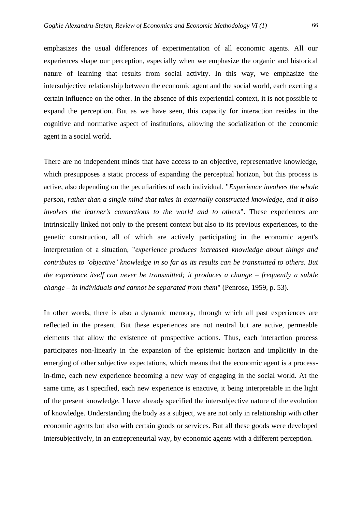emphasizes the usual differences of experimentation of all economic agents. All our experiences shape our perception, especially when we emphasize the organic and historical nature of learning that results from social activity. In this way, we emphasize the intersubjective relationship between the economic agent and the social world, each exerting a certain influence on the other. In the absence of this experiential context, it is not possible to expand the perception. But as we have seen, this capacity for interaction resides in the cognitive and normative aspect of institutions, allowing the socialization of the economic agent in a social world.

There are no independent minds that have access to an objective, representative knowledge, which presupposes a static process of expanding the perceptual horizon, but this process is active, also depending on the peculiarities of each individual. "*Experience involves the whole person, rather than a single mind that takes in externally constructed knowledge, and it also involves the learner's connections to the world and to others*". These experiences are intrinsically linked not only to the present context but also to its previous experiences, to the genetic construction, all of which are actively participating in the economic agent's interpretation of a situation, "*experience produces increased knowledge about things and contributes to 'objective' knowledge in so far as its results can be transmitted to others. But the experience itself can never be transmitted; it produces a change – frequently a subtle change – in individuals and cannot be separated from them*" (Penrose, 1959, p. 53).

In other words, there is also a dynamic memory, through which all past experiences are reflected in the present. But these experiences are not neutral but are active, permeable elements that allow the existence of prospective actions. Thus, each interaction process participates non-linearly in the expansion of the epistemic horizon and implicitly in the emerging of other subjective expectations, which means that the economic agent is a processin-time, each new experience becoming a new way of engaging in the social world. At the same time, as I specified, each new experience is enactive, it being interpretable in the light of the present knowledge. I have already specified the intersubjective nature of the evolution of knowledge. Understanding the body as a subject, we are not only in relationship with other economic agents but also with certain goods or services. But all these goods were developed intersubjectively, in an entrepreneurial way, by economic agents with a different perception.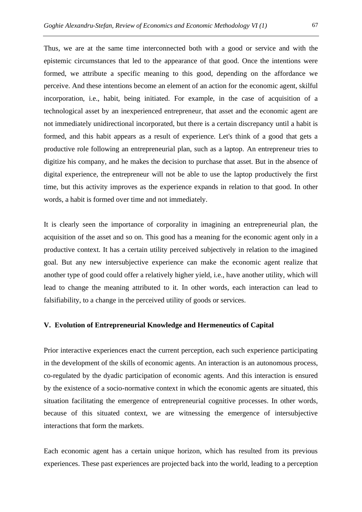Thus, we are at the same time interconnected both with a good or service and with the epistemic circumstances that led to the appearance of that good. Once the intentions were formed, we attribute a specific meaning to this good, depending on the affordance we perceive. And these intentions become an element of an action for the economic agent, skilful incorporation, i.e., habit, being initiated. For example, in the case of acquisition of a technological asset by an inexperienced entrepreneur, that asset and the economic agent are not immediately unidirectional incorporated, but there is a certain discrepancy until a habit is formed, and this habit appears as a result of experience. Let's think of a good that gets a productive role following an entrepreneurial plan, such as a laptop. An entrepreneur tries to digitize his company, and he makes the decision to purchase that asset. But in the absence of digital experience, the entrepreneur will not be able to use the laptop productively the first time, but this activity improves as the experience expands in relation to that good. In other words, a habit is formed over time and not immediately.

It is clearly seen the importance of corporality in imagining an entrepreneurial plan, the acquisition of the asset and so on. This good has a meaning for the economic agent only in a productive context. It has a certain utility perceived subjectively in relation to the imagined goal. But any new intersubjective experience can make the economic agent realize that another type of good could offer a relatively higher yield, i.e., have another utility, which will lead to change the meaning attributed to it. In other words, each interaction can lead to falsifiability, to a change in the perceived utility of goods or services.

### **V. Evolution of Entrepreneurial Knowledge and Hermeneutics of Capital**

Prior interactive experiences enact the current perception, each such experience participating in the development of the skills of economic agents. An interaction is an autonomous process, co-regulated by the dyadic participation of economic agents. And this interaction is ensured by the existence of a socio-normative context in which the economic agents are situated, this situation facilitating the emergence of entrepreneurial cognitive processes. In other words, because of this situated context, we are witnessing the emergence of intersubjective interactions that form the markets.

Each economic agent has a certain unique horizon, which has resulted from its previous experiences. These past experiences are projected back into the world, leading to a perception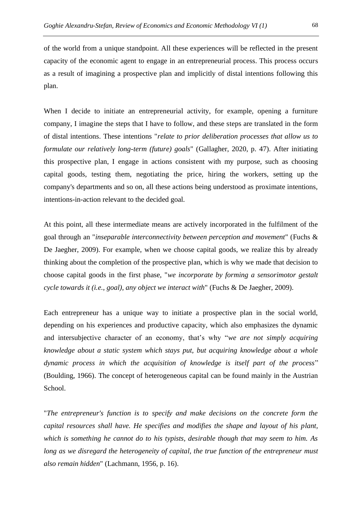of the world from a unique standpoint. All these experiences will be reflected in the present capacity of the economic agent to engage in an entrepreneurial process. This process occurs as a result of imagining a prospective plan and implicitly of distal intentions following this plan.

When I decide to initiate an entrepreneurial activity, for example, opening a furniture company, I imagine the steps that I have to follow, and these steps are translated in the form of distal intentions. These intentions "*relate to prior deliberation processes that allow us to formulate our relatively long-term (future) goals*" (Gallagher, 2020, p. 47). After initiating this prospective plan, I engage in actions consistent with my purpose, such as choosing capital goods, testing them, negotiating the price, hiring the workers, setting up the company's departments and so on, all these actions being understood as proximate intentions, intentions-in-action relevant to the decided goal.

At this point, all these intermediate means are actively incorporated in the fulfilment of the goal through an "*inseparable interconnectivity between perception and movement*" (Fuchs & De Jaegher, 2009). For example, when we choose capital goods, we realize this by already thinking about the completion of the prospective plan, which is why we made that decision to choose capital goods in the first phase, "*we incorporate by forming a sensorimotor gestalt cycle towards it (i.e., goal), any object we interact with*" (Fuchs & De Jaegher, 2009).

Each entrepreneur has a unique way to initiate a prospective plan in the social world, depending on his experiences and productive capacity, which also emphasizes the dynamic and intersubjective character of an economy, that's why "*we are not simply acquiring knowledge about a static system which stays put, but acquiring knowledge about a whole dynamic process in which the acquisition of knowledge is itself part of the process*" (Boulding, 1966). The concept of heterogeneous capital can be found mainly in the Austrian School.

"*The entrepreneur's function is to specify and make decisions on the concrete form the capital resources shall have. He specifies and modifies the shape and layout of his plant, which is something he cannot do to his typists, desirable though that may seem to him. As long as we disregard the heterogeneity of capital, the true function of the entrepreneur must also remain hidden*" (Lachmann, 1956, p. 16).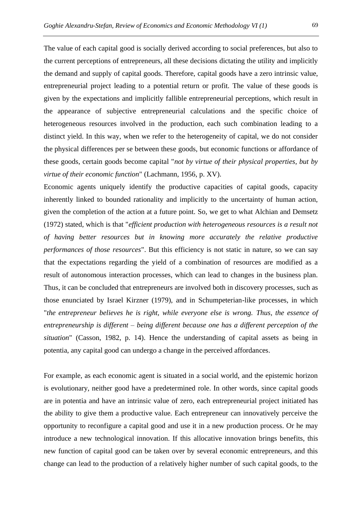The value of each capital good is socially derived according to social preferences, but also to the current perceptions of entrepreneurs, all these decisions dictating the utility and implicitly the demand and supply of capital goods. Therefore, capital goods have a zero intrinsic value, entrepreneurial project leading to a potential return or profit. The value of these goods is given by the expectations and implicitly fallible entrepreneurial perceptions, which result in the appearance of subjective entrepreneurial calculations and the specific choice of heterogeneous resources involved in the production, each such combination leading to a distinct yield. In this way, when we refer to the heterogeneity of capital, we do not consider the physical differences per se between these goods, but economic functions or affordance of these goods, certain goods become capital "*not by virtue of their physical properties, but by virtue of their economic function*" (Lachmann, 1956, p. XV).

Economic agents uniquely identify the productive capacities of capital goods, capacity inherently linked to bounded rationality and implicitly to the uncertainty of human action, given the completion of the action at a future point. So, we get to what Alchian and Demsetz (1972) stated, which is that "*efficient production with heterogeneous resources is a result not of having better resources but in knowing more accurately the relative productive performances of those resources*". But this efficiency is not static in nature, so we can say that the expectations regarding the yield of a combination of resources are modified as a result of autonomous interaction processes, which can lead to changes in the business plan. Thus, it can be concluded that entrepreneurs are involved both in discovery processes, such as those enunciated by Israel Kirzner (1979), and in Schumpeterian-like processes, in which "*the entrepreneur believes he is right, while everyone else is wrong. Thus, the essence of entrepreneurship is different – being different because one has a different perception of the situation*" (Casson, 1982, p. 14). Hence the understanding of capital assets as being in potentia, any capital good can undergo a change in the perceived affordances.

For example, as each economic agent is situated in a social world, and the epistemic horizon is evolutionary, neither good have a predetermined role. In other words, since capital goods are in potentia and have an intrinsic value of zero, each entrepreneurial project initiated has the ability to give them a productive value. Each entrepreneur can innovatively perceive the opportunity to reconfigure a capital good and use it in a new production process. Or he may introduce a new technological innovation. If this allocative innovation brings benefits, this new function of capital good can be taken over by several economic entrepreneurs, and this change can lead to the production of a relatively higher number of such capital goods, to the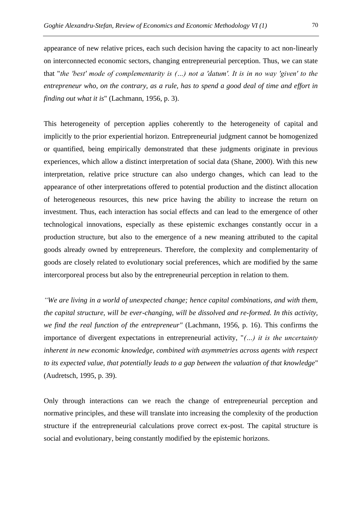appearance of new relative prices, each such decision having the capacity to act non-linearly on interconnected economic sectors, changing entrepreneurial perception. Thus, we can state that "*the 'best' mode of complementarity is (…) not a 'datum'. It is in no way 'given' to the entrepreneur who, on the contrary, as a rule, has to spend a good deal of time and effort in finding out what it is*" (Lachmann, 1956, p. 3).

This heterogeneity of perception applies coherently to the heterogeneity of capital and implicitly to the prior experiential horizon. Entrepreneurial judgment cannot be homogenized or quantified, being empirically demonstrated that these judgments originate in previous experiences, which allow a distinct interpretation of social data (Shane, 2000). With this new interpretation, relative price structure can also undergo changes, which can lead to the appearance of other interpretations offered to potential production and the distinct allocation of heterogeneous resources, this new price having the ability to increase the return on investment. Thus, each interaction has social effects and can lead to the emergence of other technological innovations, especially as these epistemic exchanges constantly occur in a production structure, but also to the emergence of a new meaning attributed to the capital goods already owned by entrepreneurs. Therefore, the complexity and complementarity of goods are closely related to evolutionary social preferences, which are modified by the same intercorporeal process but also by the entrepreneurial perception in relation to them.

*"We are living in a world of unexpected change; hence capital combinations, and with them, the capital structure, will be ever-changing, will be dissolved and re-formed. In this activity, we find the real function of the entrepreneur"* (Lachmann, 1956, p. 16). This confirms the importance of divergent expectations in entrepreneurial activity, "*(…) it is the uncertainty inherent in new economic knowledge, combined with asymmetries across agents with respect to its expected value, that potentially leads to a gap between the valuation of that knowledge*" (Audretsch, 1995, p. 39).

Only through interactions can we reach the change of entrepreneurial perception and normative principles, and these will translate into increasing the complexity of the production structure if the entrepreneurial calculations prove correct ex-post. The capital structure is social and evolutionary, being constantly modified by the epistemic horizons.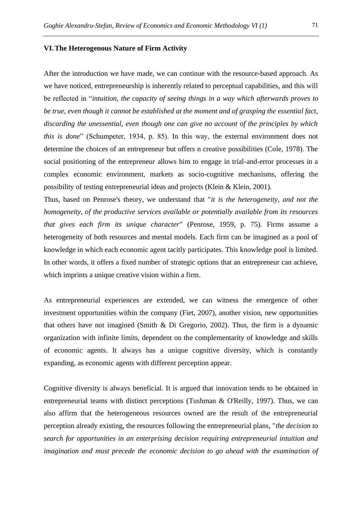#### **VI.The Heterogenous Nature of Firm Activity**

After the introduction we have made, we can continue with the resource-based approach. As we have noticed, entrepreneurship is inherently related to perceptual capabilities, and this will be reflected in "*intuition, the capacity of seeing things in a way which afterwards proves to be true, even though it cannot be established at the moment and of grasping the essential fact, discarding the unessential, even though one can give no account of the principles by which this is done*" (Schumpeter, 1934, p. 85). In this way, the external environment does not determine the choices of an entrepreneur but offers n creative possibilities (Cole, 1978). The social positioning of the entrepreneur allows him to engage in trial-and-error processes in a complex economic environment, markets as socio-cognitive mechanisms, offering the possibility of testing entrepreneurial ideas and projects (Klein & Klein, 2001).

Thus, based on Penrose's theory, we understand that "*it is the heterogeneity, and not the homogeneity, of the productive services available or potentially available from its resources that gives each firm its unique character*" (Penrose, 1959, p. 75). Firms assume a heterogeneity of both resources and mental models. Each firm can be imagined as a pool of knowledge in which each economic agent tacitly participates. This knowledge pool is limited. In other words, it offers a fixed number of strategic options that an entrepreneur can achieve, which imprints a unique creative vision within a firm.

As entrepreneurial experiences are extended, we can witness the emergence of other investment opportunities within the company (Fiet, 2007), another vision, new opportunities that others have not imagined (Smith & Di Gregorio, 2002). Thus, the firm is a dynamic organization with infinite limits, dependent on the complementarity of knowledge and skills of economic agents. It always has a unique cognitive diversity, which is constantly expanding, as economic agents with different perception appear.

Cognitive diversity is always beneficial. It is argued that innovation tends to be obtained in entrepreneurial teams with distinct perceptions (Tushman & O'Reilly, 1997). Thus, we can also affirm that the heterogeneous resources owned are the result of the entrepreneurial perception already existing, the resources following the entrepreneurial plans, "*the decision to search for opportunities in an enterprising decision requiring entrepreneurial intuition and imagination and must precede the economic decision to go ahead with the examination of*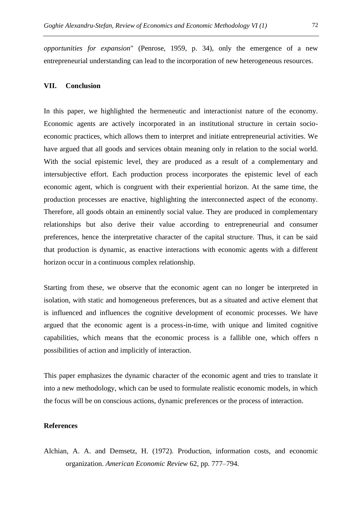*opportunities for expansion*" (Penrose, 1959, p. 34), only the emergence of a new entrepreneurial understanding can lead to the incorporation of new heterogeneous resources.

## **VII. Conclusion**

In this paper, we highlighted the hermeneutic and interactionist nature of the economy. Economic agents are actively incorporated in an institutional structure in certain socioeconomic practices, which allows them to interpret and initiate entrepreneurial activities. We have argued that all goods and services obtain meaning only in relation to the social world. With the social epistemic level, they are produced as a result of a complementary and intersubjective effort. Each production process incorporates the epistemic level of each economic agent, which is congruent with their experiential horizon. At the same time, the production processes are enactive, highlighting the interconnected aspect of the economy. Therefore, all goods obtain an eminently social value. They are produced in complementary relationships but also derive their value according to entrepreneurial and consumer preferences, hence the interpretative character of the capital structure. Thus, it can be said that production is dynamic, as enactive interactions with economic agents with a different horizon occur in a continuous complex relationship.

Starting from these, we observe that the economic agent can no longer be interpreted in isolation, with static and homogeneous preferences, but as a situated and active element that is influenced and influences the cognitive development of economic processes. We have argued that the economic agent is a process-in-time, with unique and limited cognitive capabilities, which means that the economic process is a fallible one, which offers n possibilities of action and implicitly of interaction.

This paper emphasizes the dynamic character of the economic agent and tries to translate it into a new methodology, which can be used to formulate realistic economic models, in which the focus will be on conscious actions, dynamic preferences or the process of interaction.

## **References**

Alchian, A. A. and Demsetz, H. (1972). Production, information costs, and economic organization. *American Economic Review* 62, pp. 777–794.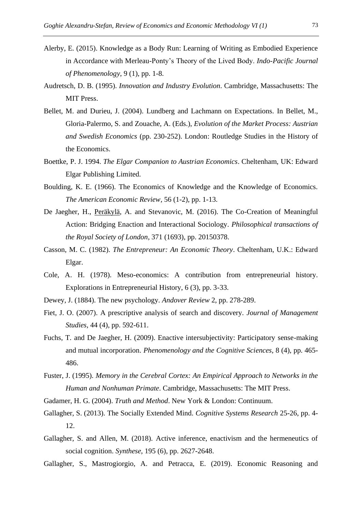- Alerby, E. (2015). Knowledge as a Body Run: Learning of Writing as Embodied Experience in Accordance with Merleau-Ponty's Theory of the Lived Body. *Indo-Pacific Journal of Phenomenology*, 9 (1), pp. 1-8.
- Audretsch, D. B. (1995). *Innovation and Industry Evolution*. Cambridge, Massachusetts: The MIT Press.
- Bellet, M. and Durieu, J. (2004). Lundberg and Lachmann on Expectations*.* In Bellet, M., Gloria-Palermo, S. and Zouache, A. (Eds.), *Evolution of the Market Process: Austrian and Swedish Economics* (pp. 230-252). London: Routledge Studies in the History of the Economics.
- Boettke, P. J. 1994. *The Elgar Companion to Austrian Economics*. Cheltenham, UK: Edward Elgar Publishing Limited.
- Boulding, K. E. (1966). The Economics of Knowledge and the Knowledge of Economics. *The American Economic Review*, 56 (1-2), pp. 1-13.
- De Jaegher, H., [Peräkylä,](https://www.ncbi.nlm.nih.gov/pubmed/?term=Per%26%23x000e4%3Bkyl%26%23x000e4%3B%20A%5BAuthor%5D&cauthor=true&cauthor_uid=27069055) A. and Stevanovic, M. (2016). The Co-Creation of Meaningful Action: Bridging Enaction and Interactional Sociology. *Philosophical transactions of the Royal Society of London*, 371 (1693), pp. 20150378.
- Casson, M. C. (1982). *The Entrepreneur: An Economic Theory*. Cheltenham, U.K.: Edward Elgar.
- Cole, A. H. (1978). Meso-economics: A contribution from entrepreneurial history. Explorations in Entrepreneurial History, 6 (3), pp. 3-33.
- Dewey, J. (1884). The new psychology. *Andover Review* 2, pp. 278-289.
- Fiet, J. O. (2007). A prescriptive analysis of search and discovery. *Journal of Management Studies*, 44 (4), pp. 592-611.
- Fuchs, T. and De Jaegher, H. (2009). Enactive intersubjectivity: Participatory sense-making and mutual incorporation. *Phenomenology and the Cognitive Sciences*, 8 (4), pp. 465- 486.
- Fuster, J. (1995). *Memory in the Cerebral Cortex: An Empirical Approach to Networks in the Human and Nonhuman Primate*. Cambridge, Massachusetts: The MIT Press.
- Gadamer, H. G. (2004). *Truth and Method*. New York & London: Continuum.
- Gallagher, S. (2013). The Socially Extended Mind. *Cognitive Systems Research* 25-26, pp. 4- 12.
- Gallagher, S. and Allen, M. (2018). Active inference, enactivism and the hermeneutics of social cognition. *Synthese*, 195 (6), pp. 2627-2648.
- Gallagher, S., Mastrogiorgio, A. and Petracca, E. (2019). Economic Reasoning and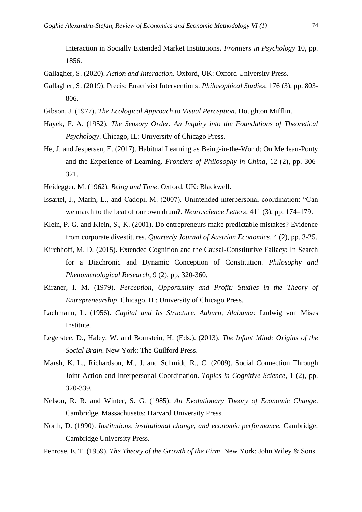Interaction in Socially Extended Market Institutions. *Frontiers in Psychology* 10, pp. 1856.

- Gallagher, S. (2020). *Action and Interaction*. Oxford, UK: Oxford University Press.
- Gallagher, S. (2019). Precis: Enactivist Interventions. *Philosophical Studies*, 176 (3), pp. 803- 806.
- Gibson, J. (1977). *The Ecological Approach to Visual Perception*. Houghton Mifflin.
- Hayek, F. A. (1952). *The Sensory Order. An Inquiry into the Foundations of Theoretical Psychology*. Chicago, IL: University of Chicago Press.
- He, J. and Jespersen, E. (2017). Habitual Learning as Being-in-the-World: On Merleau-Ponty and the Experience of Learning. *Frontiers of Philosophy in China*, 12 (2), pp. 306- 321.
- Heidegger, M. (1962). *Being and Time*. Oxford, UK: Blackwell.
- Issartel, J., Marin, L., and Cadopi, M. (2007). Unintended interpersonal coordination: "Can we march to the beat of our own drum?. *Neuroscience Letters*, 411 (3), pp. 174–179.
- Klein, P. G. and Klein, S., K. (2001). Do entrepreneurs make predictable mistakes? Evidence from corporate divestitures. *Quarterly Journal of Austrian Economics*, 4 (2), pp. 3-25.
- Kirchhoff, M. D. (2015). Extended Cognition and the Causal-Constitutive Fallacy: In Search for a Diachronic and Dynamic Conception of Constitution. *Philosophy and Phenomenological Research*, 9 (2), pp. 320-360.
- Kirzner, I. M. (1979). *Perception, Opportunity and Profit: Studies in the Theory of Entrepreneurship*. Chicago, IL: University of Chicago Press.
- Lachmann, L. (1956). *Capital and Its Structure. Auburn, Alabama:* Ludwig von Mises Institute.
- Legerstee, D., Haley, W. and Bornstein, H. (Eds.). (2013). *The Infant Mind: Origins of the Social Brain*. New York: The Guilford Press.
- Marsh, K. L., Richardson, M., J. and Schmidt, R., C. (2009). Social Connection Through Joint Action and Interpersonal Coordination. *Topics in Cognitive Science*, 1 (2), pp. 320-339.
- Nelson, R. R. and Winter, S. G. (1985). *An Evolutionary Theory of Economic Change*. Cambridge, Massachusetts: Harvard University Press.
- North, D. (1990). *Institutions, institutional change, and economic performance.* Cambridge: Cambridge University Press.
- Penrose, E. T. (1959). *The Theory of the Growth of the Firm*. New York: John Wiley & Sons.